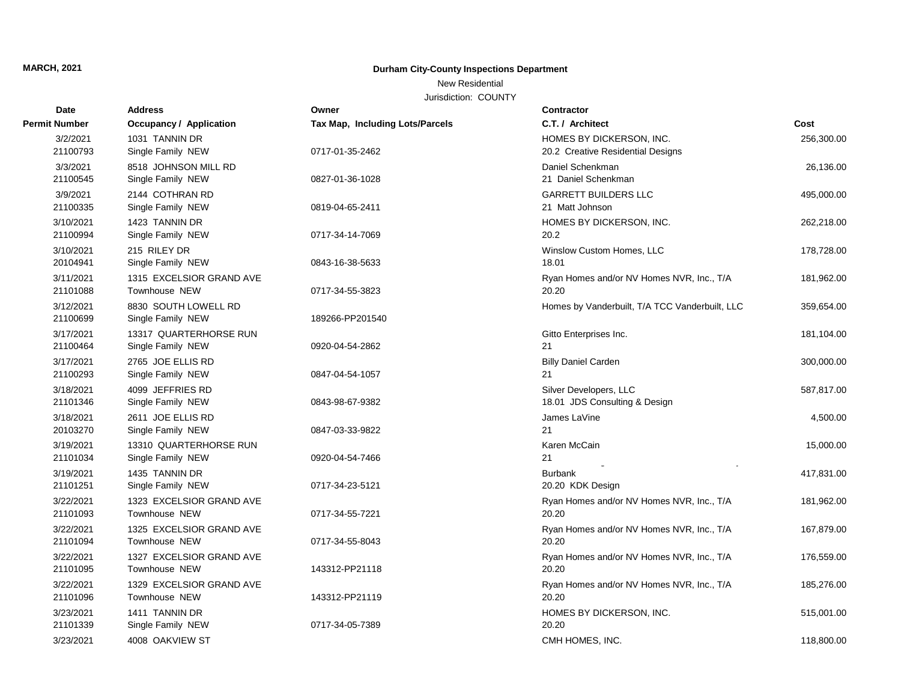## **MARCH, 2021 Durham City-County Inspections Department**

## New Residential

Jurisdiction: COUNTY

| Date                  | <b>Address</b>                              | Owner                           | <b>Contractor</b>                                             |            |
|-----------------------|---------------------------------------------|---------------------------------|---------------------------------------------------------------|------------|
| <b>Permit Number</b>  | <b>Occupancy / Application</b>              | Tax Map, Including Lots/Parcels | C.T. / Architect                                              | Cost       |
| 3/2/2021<br>21100793  | 1031 TANNIN DR<br>Single Family NEW         | 0717-01-35-2462                 | HOMES BY DICKERSON, INC.<br>20.2 Creative Residential Designs | 256,300.00 |
| 3/3/2021<br>21100545  | 8518 JOHNSON MILL RD<br>Single Family NEW   | 0827-01-36-1028                 | Daniel Schenkman<br>21 Daniel Schenkman                       | 26,136.00  |
| 3/9/2021<br>21100335  | 2144 COTHRAN RD<br>Single Family NEW        | 0819-04-65-2411                 | <b>GARRETT BUILDERS LLC</b><br>21 Matt Johnson                | 495,000.00 |
| 3/10/2021<br>21100994 | 1423 TANNIN DR<br>Single Family NEW         | 0717-34-14-7069                 | HOMES BY DICKERSON, INC.<br>20.2                              | 262,218.00 |
| 3/10/2021<br>20104941 | 215 RILEY DR<br>Single Family NEW           | 0843-16-38-5633                 | Winslow Custom Homes, LLC<br>18.01                            | 178,728.00 |
| 3/11/2021<br>21101088 | 1315 EXCELSIOR GRAND AVE<br>Townhouse NEW   | 0717-34-55-3823                 | Ryan Homes and/or NV Homes NVR, Inc., T/A<br>20.20            | 181,962.00 |
| 3/12/2021<br>21100699 | 8830 SOUTH LOWELL RD<br>Single Family NEW   | 189266-PP201540                 | Homes by Vanderbuilt, T/A TCC Vanderbuilt, LLC                | 359,654.00 |
| 3/17/2021<br>21100464 | 13317 QUARTERHORSE RUN<br>Single Family NEW | 0920-04-54-2862                 | Gitto Enterprises Inc.<br>21                                  | 181,104.00 |
| 3/17/2021<br>21100293 | 2765 JOE ELLIS RD<br>Single Family NEW      | 0847-04-54-1057                 | <b>Billy Daniel Carden</b><br>21                              | 300,000.00 |
| 3/18/2021<br>21101346 | 4099 JEFFRIES RD<br>Single Family NEW       | 0843-98-67-9382                 | Silver Developers, LLC<br>18.01 JDS Consulting & Design       | 587,817.00 |
| 3/18/2021<br>20103270 | 2611 JOE ELLIS RD<br>Single Family NEW      | 0847-03-33-9822                 | James LaVine<br>21                                            | 4,500.00   |
| 3/19/2021<br>21101034 | 13310 QUARTERHORSE RUN<br>Single Family NEW | 0920-04-54-7466                 | Karen McCain<br>21                                            | 15,000.00  |
| 3/19/2021<br>21101251 | 1435 TANNIN DR<br>Single Family NEW         | 0717-34-23-5121                 | <b>Burbank</b><br>20.20 KDK Design                            | 417,831.00 |
| 3/22/2021<br>21101093 | 1323 EXCELSIOR GRAND AVE<br>Townhouse NEW   | 0717-34-55-7221                 | Ryan Homes and/or NV Homes NVR, Inc., T/A<br>20.20            | 181,962.00 |
| 3/22/2021<br>21101094 | 1325 EXCELSIOR GRAND AVE<br>Townhouse NEW   | 0717-34-55-8043                 | Ryan Homes and/or NV Homes NVR, Inc., T/A<br>20.20            | 167,879.00 |
| 3/22/2021<br>21101095 | 1327 EXCELSIOR GRAND AVE<br>Townhouse NEW   | 143312-PP21118                  | Ryan Homes and/or NV Homes NVR, Inc., T/A<br>20.20            | 176,559.00 |
| 3/22/2021<br>21101096 | 1329 EXCELSIOR GRAND AVE<br>Townhouse NEW   | 143312-PP21119                  | Ryan Homes and/or NV Homes NVR, Inc., T/A<br>20.20            | 185,276.00 |
| 3/23/2021<br>21101339 | 1411 TANNIN DR<br>Single Family NEW         | 0717-34-05-7389                 | HOMES BY DICKERSON, INC.<br>20.20                             | 515,001.00 |
| 3/23/2021             | 4008 OAKVIEW ST                             |                                 | CMH HOMES, INC.                                               | 118,800.00 |